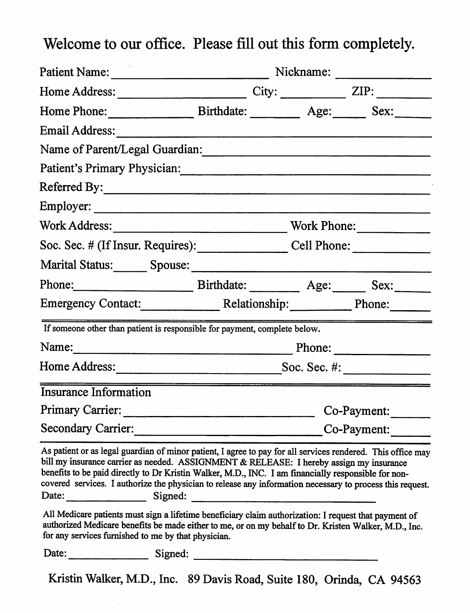Welcome to our office. Please fill out this form completely.

| Patient Name:                                                                                                                                                                                                                                                                                                                                                                                                                                                                                                                                                                                                                                               |                                              |  |             |                |
|-------------------------------------------------------------------------------------------------------------------------------------------------------------------------------------------------------------------------------------------------------------------------------------------------------------------------------------------------------------------------------------------------------------------------------------------------------------------------------------------------------------------------------------------------------------------------------------------------------------------------------------------------------------|----------------------------------------------|--|-------------|----------------|
|                                                                                                                                                                                                                                                                                                                                                                                                                                                                                                                                                                                                                                                             |                                              |  |             | $City:$ $ZIP:$ |
| Home Phone: Birthdate: Age: Sex:                                                                                                                                                                                                                                                                                                                                                                                                                                                                                                                                                                                                                            |                                              |  |             |                |
| Email Address:                                                                                                                                                                                                                                                                                                                                                                                                                                                                                                                                                                                                                                              |                                              |  |             |                |
| Name of Parent/Legal Guardian: 2008 and 2012 and 2012 and 2013 and 2013 and 2013 and 2013 and 2013 and 2013 and 2013 and 2013 and 2013 and 2013 and 2013 and 2013 and 2013 and 2013 and 2013 and 2013 and 2013 and 2013 and 20                                                                                                                                                                                                                                                                                                                                                                                                                              |                                              |  |             |                |
| Patient's Primary Physician: Material Contract of Patient's Primary Physician:                                                                                                                                                                                                                                                                                                                                                                                                                                                                                                                                                                              |                                              |  |             |                |
| Referred By:                                                                                                                                                                                                                                                                                                                                                                                                                                                                                                                                                                                                                                                |                                              |  |             |                |
| Employer:                                                                                                                                                                                                                                                                                                                                                                                                                                                                                                                                                                                                                                                   |                                              |  |             |                |
|                                                                                                                                                                                                                                                                                                                                                                                                                                                                                                                                                                                                                                                             |                                              |  |             | Work Phone:    |
| Soc. Sec. # (If Insur. Requires): Cell Phone: ___________________________________                                                                                                                                                                                                                                                                                                                                                                                                                                                                                                                                                                           |                                              |  |             |                |
| Marital Status: Spouse: Spouse: Spouse: Spouse: Spouse: Spouse: Spouse: Spouse: Spouse: Spouse: Spouse: Spouse: Spouse: Spouse: Spouse: Spouse: Spouse: Spouse: Spouse: Spouse: Spouse: Spouse: Spouse: Spouse: Spouse: Spouse                                                                                                                                                                                                                                                                                                                                                                                                                              |                                              |  |             |                |
|                                                                                                                                                                                                                                                                                                                                                                                                                                                                                                                                                                                                                                                             |                                              |  |             |                |
| Emergency Contact: Relationship: Phone: Phone:                                                                                                                                                                                                                                                                                                                                                                                                                                                                                                                                                                                                              |                                              |  |             |                |
| If someone other than patient is responsible for payment, complete below.                                                                                                                                                                                                                                                                                                                                                                                                                                                                                                                                                                                   |                                              |  |             |                |
|                                                                                                                                                                                                                                                                                                                                                                                                                                                                                                                                                                                                                                                             |                                              |  |             | Phone:         |
|                                                                                                                                                                                                                                                                                                                                                                                                                                                                                                                                                                                                                                                             |                                              |  |             |                |
| <b>Insurance Information</b>                                                                                                                                                                                                                                                                                                                                                                                                                                                                                                                                                                                                                                |                                              |  |             |                |
| Primary Carrier:                                                                                                                                                                                                                                                                                                                                                                                                                                                                                                                                                                                                                                            | <u> 1989 - Jan Barnett, mars et al. (</u>    |  |             | Co-Payment:    |
| <b>Secondary Carrier:</b>                                                                                                                                                                                                                                                                                                                                                                                                                                                                                                                                                                                                                                   | the control of the control of the control of |  | Co-Payment: |                |
| As patient or as legal guardian of minor patient, I agree to pay for all services rendered. This office may<br>bill my insurance carrier as needed. ASSIGNMENT & RELEASE: I hereby assign my insurance<br>benefits to be paid directly to Dr Kristin Walker, M.D., INC. I am financially responsible for non-<br>covered services. I authorize the physician to release any information necessary to process this request.<br>Date: Signed: Signed: Signed: Signed: Signed: Signed: Signed: Signed: Signed: Signed: Signed: Signed: Signed: Signed: Signed: Signed: Signed: Signed: Signed: Signed: Signed: Signed: Signed: Signed: Signed: Signed: Signed: |                                              |  |             |                |
| All Medicare patients must sign a lifetime beneficiary claim authorization: I request that payment of<br>authorized Medicare benefits be made either to me, or on my behalf to Dr. Kristen Walker, M.D., Inc.<br>for any services furnished to me by that physician.                                                                                                                                                                                                                                                                                                                                                                                        |                                              |  |             |                |
| Date:<br>Signed:                                                                                                                                                                                                                                                                                                                                                                                                                                                                                                                                                                                                                                            |                                              |  |             |                |
| Kristin Walker, M.D., Inc. 89 Davis Road, Suite 180, Orinda, CA 94563                                                                                                                                                                                                                                                                                                                                                                                                                                                                                                                                                                                       |                                              |  |             |                |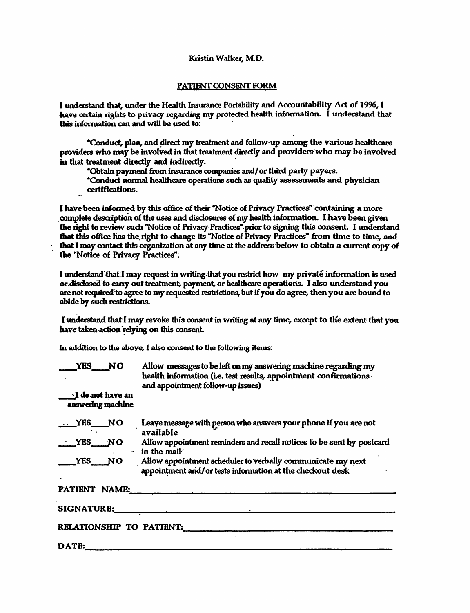## Kristin Walker, M.D.

## PATIENT CONSENT FORM

I understand that, under the Health Insurance Portability and Accountability Act of 1996. I have certain rights to privacy regarding my protected health information. I understand that this information can and will be used to:

\*Conduct, plan, and direct my treatment and follow-up among the various healthcare providers who may be involved in that treatment directly and providers who may be involved in that treatment directly and indirectly.

\*Obtain payment from insurance companies and/or third party payers.

\*Conduct normal healthcare operations such as quality assessments and physician certifications.

I have been informed by this office of their "Notice of Privacy Practices" containing a more complete description of the uses and disclosures of my health information. I have been given the right to review such "Notice of Privacy Practices" prior to signing this consent. I understand that this office has the right to change its "Notice of Privacy Practices" from time to time, and that I may contact this organization at any time at the address below to obtain a current copy of the "Notice of Privacy Practices".

I understand that: I may request in writing that you restrict how my private information is used or disdosed to carry out treatment, payment, or healthcare operations. I also understand you are not required to agree to my requested restrictions, but if you do agree, then you are bound to abide by such restrictions.

I understand that I may revoke this consent in writing at any time, except to the extent that you have taken action relying on this consent.

In addition to the above, I also consent to the following items:

| <b>YES</b><br><b>NO</b>                        | Allow messages to be left on my answering machine regarding my<br>health information (i.e. test results, appointment confirmations<br>and appointment follow-up issues) |
|------------------------------------------------|-------------------------------------------------------------------------------------------------------------------------------------------------------------------------|
| $\Delta$ I do not have an<br>answering machine |                                                                                                                                                                         |
| <b>YES</b><br>$\overline{\phantom{1}}$ NO      | Leave message with person who answers your phone if you are not<br>available                                                                                            |
| YES NO                                         | Allow appointment reminders and recall notices to be sent by postcard<br>in the mail'                                                                                   |
| YES NO                                         | Allow appointment scheduler to verbally communicate my next<br>appointment and/or tests information at the checkout desk                                                |
| PATIENT NAME:                                  |                                                                                                                                                                         |
| <b>SIGNATURE:</b>                              |                                                                                                                                                                         |
|                                                | <b>RELATIONSHIP TO PATTENT:</b>                                                                                                                                         |
| DATE:                                          |                                                                                                                                                                         |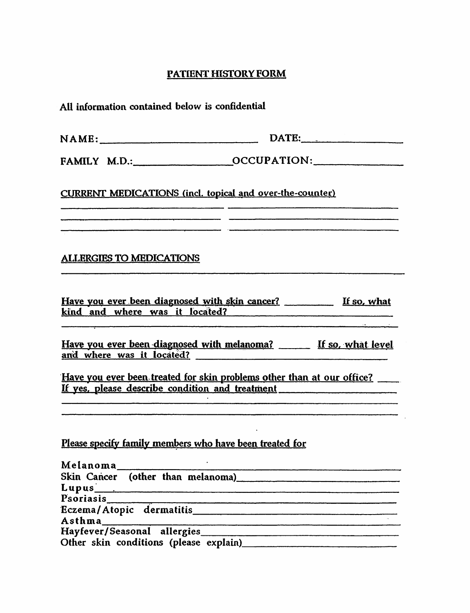## PATIENT HISTORY FORM

| All information contained below is confidential                                                                                                                                                                                |                                                                                                                                                                                                                                                 |  |  |  |
|--------------------------------------------------------------------------------------------------------------------------------------------------------------------------------------------------------------------------------|-------------------------------------------------------------------------------------------------------------------------------------------------------------------------------------------------------------------------------------------------|--|--|--|
| NAME:                                                                                                                                                                                                                          | DATE:                                                                                                                                                                                                                                           |  |  |  |
|                                                                                                                                                                                                                                |                                                                                                                                                                                                                                                 |  |  |  |
| <b>CURRENT MEDICATIONS (incl. topical and over-the-counter)</b>                                                                                                                                                                |                                                                                                                                                                                                                                                 |  |  |  |
|                                                                                                                                                                                                                                |                                                                                                                                                                                                                                                 |  |  |  |
| <b>ALLERGIES TO MEDICATIONS</b>                                                                                                                                                                                                |                                                                                                                                                                                                                                                 |  |  |  |
|                                                                                                                                                                                                                                | Have you ever been diagnosed with skin cancer? If so, what<br>kind and where was it located?                                                                                                                                                    |  |  |  |
|                                                                                                                                                                                                                                | Have you ever been diagnosed with melanoma? If so, what level                                                                                                                                                                                   |  |  |  |
| and the second control of the second control of the second control of the second control of the second control of the second control of the second control of the second control of the second control of the second control o | Have you ever been treated for skin problems other than at our office?<br>If yes, please describe condition and treatment<br>.<br>1990-ben 1990-talet besteht der Schweizer und der Bernstein der Bernstein der Bernstein und der Bernstein der |  |  |  |
|                                                                                                                                                                                                                                | <u> 2000 - 2000 - 2000 - 2000 - 2000 - 2000 - 2000 - 2000 - 2000 - 2000 - 2000 - 2000 - 2000 - 2000 - 2000 - 200</u>                                                                                                                            |  |  |  |
| Please specify family members who have been treated for                                                                                                                                                                        |                                                                                                                                                                                                                                                 |  |  |  |
|                                                                                                                                                                                                                                | Skin Cancer (other than melanoma)<br>and the cancer (other than melanoma)                                                                                                                                                                       |  |  |  |
|                                                                                                                                                                                                                                |                                                                                                                                                                                                                                                 |  |  |  |
|                                                                                                                                                                                                                                |                                                                                                                                                                                                                                                 |  |  |  |
| Asthma                                                                                                                                                                                                                         |                                                                                                                                                                                                                                                 |  |  |  |
|                                                                                                                                                                                                                                |                                                                                                                                                                                                                                                 |  |  |  |
|                                                                                                                                                                                                                                |                                                                                                                                                                                                                                                 |  |  |  |